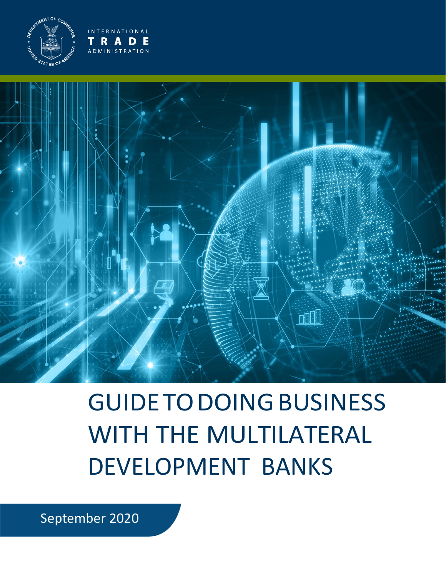

**INTERNATIONAL RADE** ADMINISTRATION



# GUIDE TODOING BUSINESS WITH THE MULTILATERAL DEVELOPMENT BANKS

September 2020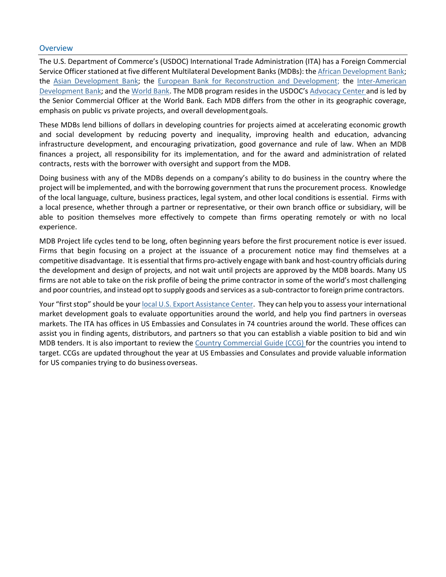### **Overview**

 The U.S. Department of Commerce's (USDOC) International Trade Administration (ITA) has a Foreign Commercial Service Officer stationed at five different Multilateral Development Banks (MDBs): the African Development Bank; the Senior Commercial Officer at the World Bank. Each MDB differs from the other in its geographic coverage, emphasis on public vs private projects, and overall developmentgoals. the [Asian Development Bank;](https://www.trade.gov/adb) the [European Bank for Reconstruction and Development;](https://www.trade.gov/ebrd) the [Inter-American](https://www.trade.gov/idb)  [Development Bank;](https://www.trade.gov/idb) and th[e World Bank. T](https://www.trade.gov/world-bank)he MDB program resides in the USDOC'[s Advocacy Center a](https://www.export.gov/advocacy)nd is led by

 These MDBs lend billions of dollars in developing countries for projects aimed at accelerating economic growth infrastructure development, and encouraging privatization, good governance and rule of law. When an MDB and social development by reducing poverty and inequality, improving health and education, advancing finances a project, all responsibility for its implementation, and for the award and administration of related contracts, rests with the borrower with oversight and support from the MDB.

 Doing business with any of the MDBs depends on a company's ability to do business in the country where the project will be implemented, and with the borrowing government that runs the procurement process. Knowledge of the local language, culture, business practices, legal system, and other local conditions is essential. Firms with able to position themselves more effectively to compete than firms operating remotely or with no local a local presence, whether through a partner or representative, or their own branch office or subsidiary, will be experience.

 competitive disadvantage. It is essential that firms pro-actively engage with bank and host-country officials during the development and design of projects, and not wait until projects are approved by the MDB boards. Many US firms are not able to take on the risk profile of being the prime contractor in some of the world's most challenging and poor countries, and instead opt to supply goods and services as a sub-contractor to foreign prime contractors. MDB Project life cycles tend to be long, often beginning years before the first procurement notice is ever issued. Firms that begin focusing on a project at the issuance of a procurement notice may find themselves at a

Your "first stop" should be your [local U.S. Export Assistance Center.](https://2016.export.gov/usoffices/index.asp) They can help you to assess your international market development goals to evaluate opportunities around the world, and help you find partners in overseas markets. The ITA has offices in US Embassies and Consulates in 74 countries around the world. These offices can assist you in finding agents, distributors, and partners so that you can establish a viable position to bid and win MDB tenders. It is also important to review the [Country Commercial Guide \(CCG\) f](http://www.export.gov/ccg)or the countries you intend to target. CCGs are updated throughout the year at US Embassies and Consulates and provide valuable information for US companies trying to do business overseas.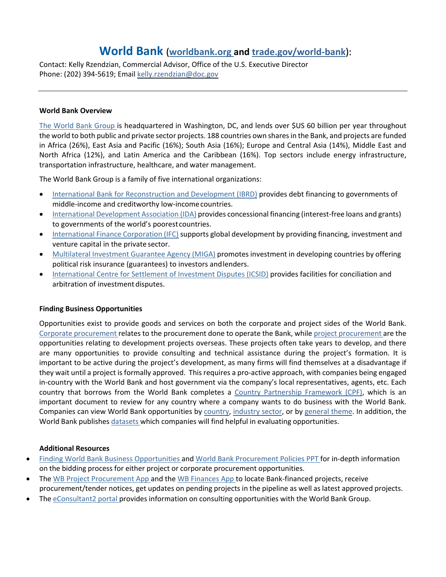# **World Bank** (**[worldbank.org a](http://www.worldbank.org/)nd [trade.gov/world-bank](https://www.trade.gov/world-bank)**):

 Contact: Kelly Rzendzian, Commercial Advisor, Office of the U.S. Executive Director Phone: (202) 394-5619; Emai[l kelly.rzendzian@doc.gov](mailto:kelly.rzendzian@doc.gov) 

#### **World Bank Overview**

[The World Bank Group i](http://www.worldbank.org/)s headquartered in Washington, DC, and lends over \$US 60 billion per year throughout North Africa (12%), and Latin America and the Caribbean (16%). Top sectors include energy infrastructure, the world to both public and private sector projects. 188 countries own shares in the Bank, and projects are funded in Africa (26%), East Asia and Pacific (16%); South Asia (16%); Europe and Central Asia (14%), Middle East and transportation infrastructure, healthcare, and water management.

The World Bank Group is a family of five international organizations:

- [International Bank for Reconstruction and Development \(IBRD\) p](http://www.worldbank.org/en/about/what-we-do/brief/ibrd)rovides debt financing to governments of middle-income and creditworthy low-incomecountries.
- [International Development Association \(IDA\) p](http://ida.worldbank.org/)rovides concessional financing (interest-free loans and grants) to governments of the world's poorest countries.
- [International Finance Corporation \(IFC\) s](http://www.ifc.org/wps/wcm/connect/corp_ext_content/ifc_external_corporate_site/home)upports global development by providing financing, investment and venture capital in the private sector.
- [Multilateral Investment Guarantee Agency \(MIGA\) p](https://www.miga.org/)romotes investment in developing countries by offering political risk insurance (guarantees) to investors andlenders.
- [International Centre for Settlement of Investment Disputes \(ICSID\) p](https://icsid.worldbank.org/en/)rovides facilities for conciliation and arbitration of investment disputes.

# **Finding Business Opportunities**

[Corporate procurement r](http://www.worldbank.org/en/about/corporate-procurement)elates to the procurement done to operate the Bank, while [project procurement a](http://projects.worldbank.org/)re the opportunities relating to development projects overseas. These projects often take years to develop, and there important to be active during the project's development, as many firms will find themselves at a disadvantage if they wait until a project is formally approved. This requires a pro-active approach, with companies being engaged in-country with the World Bank and host government via the company's local representatives, agents, etc. Each important document to review for any country where a company wants to do business with the World Bank. Companies can view World Bank opportunities by [country,](http://projects.worldbank.org/country?lang=en&page) [industry sector,](http://projects.worldbank.org/sector?lang=en&page) or by [general theme.](http://projects.worldbank.org/theme?lang=en&page) In addition, the World Bank publishe[s datasets w](https://datacatalog.worldbank.org/)hich companies will find helpful in evaluating opportunities. Opportunities exist to provide goods and services on both the corporate and project sides of the World Bank. are many opportunities to provide consulting and technical assistance during the project's formation. It is country that borrows from the World Bank completes a [Country Partnership Framework \(CPF\),](http://www.worldbank.org/en/projects-operations/country-strategies#1) which is an

- on the bidding process for either project or corporate procurement opportunities. • [Finding World Bank Business Opportunities a](http://pubdocs.worldbank.org/en/767421522948635843/Procurement-Guidelines-Finding-Opportunities-2018v2.pdf)nd [World Bank Procurement Policies PPT f](http://pubdocs.worldbank.org/en/141571461601226916/Procurement-framework-and-bidding-opportunities-presentation.pdf)or in-depth information
- procurement/tender notices, get updates on pending projects in the pipeline as well as latest approved projects. The [WB Project Procurement App a](https://itunes.apple.com/us/app/world-bank-project-procurement/id911312962?mt=8)nd the [WB Finances App t](https://itunes.apple.com/us/app/world-bank-finances/id465555488?mt=8)o locate Bank-financed projects, receive
- The [eConsultant2 portal p](https://wbgeconsult2.worldbank.org/wbgec/index.html)rovides information on consulting opportunities with the World Bank Group.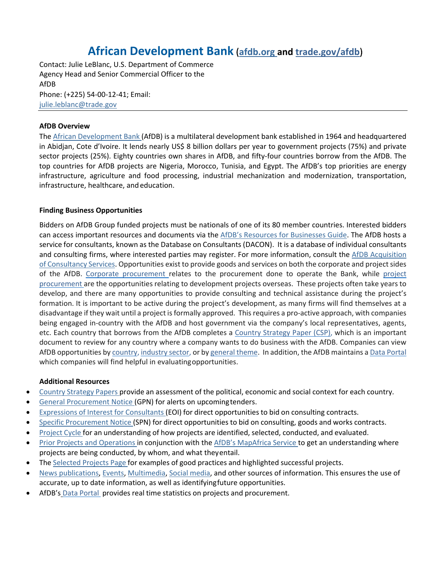# **African Development Bank** (**[afdb.org a](http://www.afdb.org/)nd [trade.gov/afdb](https://www.trade.gov/afdb)**)

AfDB Contact: Julie LeBlanc, U.S. Department of Commerce Agency Head and Senior Commercial Officer to the Phone: (+225) 54-00-12-41; Email: [julie.leblanc@trade.gov](mailto:julie.leblanc@trade.gov) 

# **AfDB Overview**

The [African Development Bank \(](https://www.afdb.org/en/)AfDB) is a multilateral development bank established in 1964 and headquartered infrastructure, healthcare, and education. in Abidjan, Cote d'Ivoire. It lends nearly US\$ 8 billion dollars per year to government projects (75%) and private sector projects (25%). Eighty countries own shares in AfDB, and fifty-four countries borrow from the AfDB. The top countries for AfDB projects are Nigeria, Morocco, Tunisia, and Egypt. The AfDB's top priorities are energy infrastructure, agriculture and food processing, industrial mechanization and modernization, transportation,

# **Finding Business Opportunities**

 service for consultants, known as the [Database on Consultants \(DACON\).](https://www.afdb.org/en/projects-and-operations/procurement/consultancy-services-e-consultant/) It is a database of individual consultants of the AfDB. [Corporate procurement r](https://www.afdb.org/en/about-us/corporate-procurement/)elates to the procurement done to operate the Bank, while project [procurement a](https://www.afdb.org/en/projects-and-operations/procurement/resources-for-businesses/)re the opportunities relating to development projects overseas. These projects often take years to develop, and there are many opportunities to provide consulting and technical assistance during the project's formation. It is important to be active during the project's development, as many firms will find themselves at a disadvantage if they wait until a project is formally approved. This requires a pro-active approach, with companies being engaged in-country with the AfDB and host government via the company's local representatives, agents, etc. Each country that borrows from the AfDB completes a [Country Strategy Paper \(CSP\),](https://www.afdb.org/en/search/?token=e7f7cb8ae8f67f4a6ed6fad0eedb733272300ce711b0c4724bcce00ba08ce2b1&query=country%2Bstrategy%2Bpaper) which is an important AfDB opportunities by [country,](https://www.afdb.org/en/countries/) [industry sector, o](https://www.afdb.org/en/projects-and-operations/project-portfolio/)r b[y general theme.](https://www.afdb.org/en/topics-and-sectors/sectors/) In addition, the AfDB maintains a Data Portal which companies will find helpful in evaluatingopportunities. Bidders on AfDB Group funded projects must be nationals of one of its 80 member countries. Interested bidders can access important resources and documents via the [AfDB's Resources for Businesses Guide. T](https://www.afdb.org/en/projects-and-operations/procurement/resources-for-businesses/)he AfDB hosts a and consulting firms, where interested parties may register. For more information, consult the [AfDB Acquisition](https://www.afdb.org/en/projects-and-operations/procurement/frequently-asked-questions/)  [of Consultancy Services. O](https://www.afdb.org/en/projects-and-operations/procurement/frequently-asked-questions/)pportunities exist to provide goods and services on both the corporate and project sides document to review for any country where a company wants to do business with the AfDB. Companies can view

- [Country Strategy Papers p](https://www.afdb.org/en/documents/project-operations/country-strategy-papers/)rovide an assessment of the political, economic and social context for each country.
- **•** [General Procurement Notice \(](https://www.afdb.org/en/projects-and-operations/procurement/resources-for-businesses/general-procurement-notices-gpns/)GPN) for alerts on upcoming tenders.
- [Expressions of Interest for Consultants \(](https://www.afdb.org/en/projects-and-operations/procurement/resources-for-businesses/expressions-of-interest-for-consultants/)EOI) for direct opportunities to bid on consulting contracts.
- [Specific Procurement Notice \(](https://www.afdb.org/en/projects-and-operations/procurement/resources-for-businesses/specific-procurement-notices-spns/)SPN) for direct opportunities to bid on consulting, goods and works contracts.
- [Project Cycle f](https://www.afdb.org/en/projects-and-operations/project-cycle/)or an understanding of how projects are identified, selected, conducted, and evaluated.
- [Prior Projects and Operations i](https://www.afdb.org/en/documents/project-operations/country-strategy-papers/)n conjunction with the [AfDB's MapAfrica Service t](https://www.afdb.org/en/projects-and-operations/mapafrica/)o get an understanding where projects are being conducted, by whom, and what theyentail.
- The [Selected Projects Page f](https://www.afdb.org/en/projects-and-operations/selected-projects/)or examples of good practices and highlighted successful projects.
- • [News publications,](https://www.afdb.org/en/news-and-events/news/) [Events,](https://www.afdb.org/en/news-and-events/events-calendar/) [Multimedia,](https://www.afdb.org/en/news-and-events/multimedia/) [Social media, a](https://twitter.com/AfDB_Group)nd other sources of information. This ensures the use of accurate, up to date information, as well as identifyingfuture opportunities.
- AfDB's [Data Portal p](https://projectsportal.afdb.org/dataportal/?lang=en)rovides real time statistics on projects and procurement.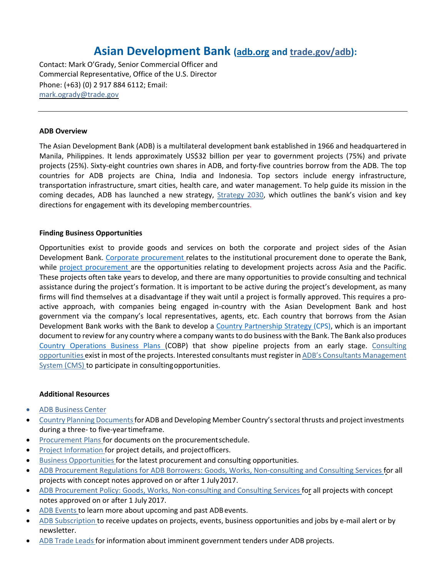# **Asian Development Bank [\(adb.org](http://www.adb.org/) and [trade.gov/adb\)](https://www.trade.gov/asiabank):**

Contact: Mark O'Grady, Senior Commercial Officer and Commercial Representative, Office of the U.S. Director Phone: (+63) (0) 2 917 884 6112; Email: [mark.ogrady@trade.gov](mailto:mark.ogrady@trade.gov) 

#### **ADB Overview**

 The Asian Development Bank (ADB) is a multilateral development bank established in 1966 and headquartered in Manila, Philippines. It lends approximately US\$32 billion per year to government projects (75%) and private transportation infrastructure, smart cities, health care, and water management. To help guide its mission in the directions for engagement with its developing membercountries. projects (25%). Sixty-eight countries own shares in ADB, and forty-five countries borrow from the ADB. The top countries for ADB projects are China, India and Indonesia. Top sectors include energy infrastructure, coming decades, ADB has launched a new strategy, [Strategy 2030,](https://www.adb.org/about/policies-and-strategies/new-strategy) which outlines the bank's vision and key

#### **Finding Business Opportunities**

Development Bank. [Corporate procurement r](https://www.adb.org/site/business-opportunities/institutional-procurement-notices)elates to the institutional procurement done to operate the Bank, These projects often take years to develop, and there are many opportunities to provide consulting and technical firms will find themselves at a disadvantage if they wait until a project is formally approved. This requires a pro- government via the company's local representatives, agents, etc. Each country that borrows from the Asian Development Bank works with the Bank to develop a [Country Partnership Strategy \(](https://www.adb.org/countries/documents/main)CPS), which is an important document to review for any country where a company wants to do business with the Bank. The Bank also produces [opportunities e](https://uxdmz06.adb.org/OA_HTML/OA.jsp?OAFunc=XXCRS_CSRN_HOME_PAGE)xist in most of the projects. Interested consultants must register in ADB's Consultants Management Opportunities exist to provide goods and services on both the corporate and project sides of the Asian while [project procurement a](https://www.adb.org/projects/tenders)re the opportunities relating to development projects across Asia and the Pacific. assistance during the project's formation. It is important to be active during the project's development, as many active approach, with companies being engaged in-country with the Asian Development Bank and host [Country Operations Business Plans \(](https://www.adb.org/documents/series/country-operations-business-plans)COBP) that show pipeline projects from an early stage. [Consulting](https://uxdmz06.adb.org/OA_HTML/OA.jsp?OAFunc=XXCRS_CSRN_HOME_PAGE)  [System \(CMS\) t](https://uxdmz06.adb.org/OA_HTML/adb/adbpos/jsp/ADBCMSLogin.jsp)o participate in consultingopportunities.

- [ADB Business Center](https://www.adb.org/business/main)
- [Country Planning Documents f](https://www.adb.org/countries/documents/main)or ADB and Developing Member Country's sectoral thrusts and project investments during a three- to five-year timeframe.
- [Procurement Plans f](https://www.adb.org/projects/documents/doctype/Procurement%20Plans)or documents on the procurement schedule.
- [Project Information f](https://www.adb.org/projects)or project details, and project officers.
- [Business Opportunities f](https://www.adb.org/site/business-opportunities/main)or the latest procurement and consulting opportunities.
- projects with concept notes approved on or after 1 July2017. • [ADB Procurement Regulations for ADB Borrowers: Goods, Works, Non-consulting and Consulting Services f](https://www.adb.org/documents/procurement-regulations-adb-borrowers)or all
- notes approved on or after 1 July 2017. • [ADB Procurement Policy: Goods, Works, Non-consulting and Consulting Services f](https://www.adb.org/documents/adb-procurement-policy)or all projects with concept
- [ADB Events t](https://www.adb.org/news/events/calendar)o learn more about upcoming and past ADB events.
- [ADB Subscription t](https://www.adb.org/news/services)o receive updates on projects, events, business opportunities and jobs by e-mail alert or by newsletter.
- [ADB Trade Leads f](https://2016.export.gov/adb/tradeleads/monthlyalerts/index.asp)or information about imminent government tenders under ADB projects.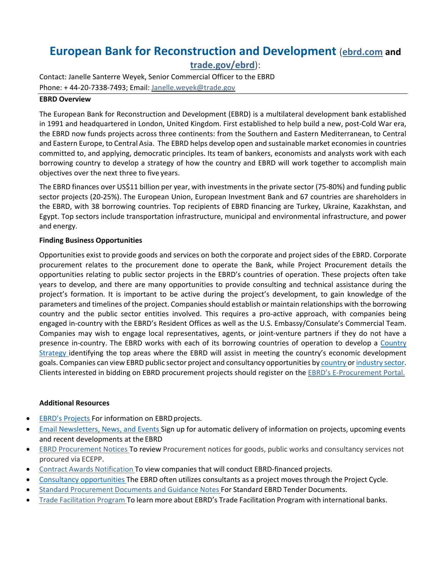# **European Bank for Reconstruction and Development** (**[ebrd.com a](http://www.ebrd.com/)nd**

**[trade.gov/ebrd](https://www.trade.gov/ebrd)**):

 Contact: Janelle Santerre Weyek, Senior Commercial Officer to the EBRD Phone: + 44-20-7338-7493; Email: Janelle.weyek@trade.gov

## **EBRD Overview**

 The European Bank for Reconstruction and Development (EBRD) is a multilateral development bank established in 1991 and headquartered in London, United Kingdom. First established to help build a new, post-Cold War era, the EBRD now funds projects across three continents: from the Southern and Eastern Mediterranean, to Central and Eastern Europe, to Central Asia. The EBRD helps develop open and sustainable market economies in countries objectives over the next three to five years. committed to, and applying, democratic principles. Its team of bankers, economists and analysts work with each borrowing country to develop a strategy of how the country and EBRD will work together to accomplish main

 The EBRD finances over US\$11 billion per year, with investments in the private sector (75-80%) and funding public the EBRD, with 38 borrowing countries. Top recipients of EBRD financing are Turkey, Ukraine, Kazakhstan, and and energy. sector projects (20-25%). The European Union, European Investment Bank and 67 countries are shareholders in Egypt. Top sectors include transportation infrastructure, municipal and environmental infrastructure, and power

# **Finding Business Opportunities**

 Opportunities exist to provide goods and services on both the corporate and project sides of the EBRD. Corporate procurement relates to the procurement done to operate the Bank, while Project Procurement details the project's formation. It is important to be active during the project's development, to gain knowledge of the parameters and timelines of the project. Companies should establish or maintain relationships with the borrowing country and the public sector entities involved. This requires a pro-active approach, with companies being engaged in-country with the EBRD's Resident Offices as well as the U.S. Embassy/Consulate's Commercial Team. Companies may wish to engage local representatives, agents, or joint-venture partners if they do not have a [Strategy i](https://www.ebrd.com/what-we-do/strategies-and-policies.html)dentifying the top areas where the EBRD will assist in meeting the country's economic development goals. Companies can view EBRD public sector project and consultancy opportunities b[y country o](http://www.ebrd.com/where-we-are.html)r industry sector. Clients interested in bidding on EBRD procurement projects should register on the [EBRD's E-Procurement](http://www.ebrd.com/work-with-us/procurement/project-procurement/e-procurement-portal.html) Portal. opportunities relating to public sector projects in the EBRD's countries of operation. These projects often take years to develop, and there are many opportunities to provide consulting and technical assistance during the presence in-country. The EBRD works with each of its borrowing countries of operation to develop a Country

- **[EBRD's Projects F](https://www.ebrd.com/work-with-us/project-finance/funding-process.html)or information on EBRD projects.** •
- [Email Newsletters, News, and Events S](http://www.ebrd.com/news.html)ign up for automatic delivery of information on projects, upcoming events and recent developments at the EBRD •
- [EBRD Procurement Notices T](http://www.ebrd.com/work-with-us/procurement/notices.html?1=1&filterContract=Project%20goods%2C%20works%20and%20services)o review Procurement notices for goods, public works and consultancy services not procured via ECEPP.
- [Contract Awards Notification](http://www.ebrd.com/work-with-us/procurement/project-procurement/contract-awards-notification.html) To view companies that will conduct EBRD-financed projects. •
- [Consultancy opportunities T](https://www.ebrd.com/work-with-us/procurement/notices.html?1=1&filterContract=Consultancy%20Services)he EBRD often utilizes consultants as a project moves through the Project Cycle. •
- [Standard Procurement Documents and Guidance Notes F](http://www.ebrd.com/work-with-us/procurement/project-procurement/standard-procurement-documents.html)or Standard EBRD Tender Documents. •
- [Trade Facilitation Program](https://www.ebrd.com/work-with-us/trade-facilitation-programme.html) To learn more about EBRD's Trade Facilitation Program with international banks.